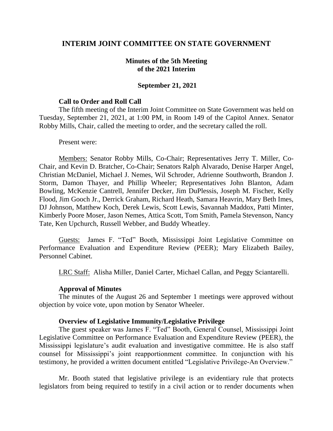# **INTERIM JOINT COMMITTEE ON STATE GOVERNMENT**

## **Minutes of the 5th Meeting of the 2021 Interim**

### **September 21, 2021**

#### **Call to Order and Roll Call**

The fifth meeting of the Interim Joint Committee on State Government was held on Tuesday, September 21, 2021, at 1:00 PM, in Room 149 of the Capitol Annex. Senator Robby Mills, Chair, called the meeting to order, and the secretary called the roll.

#### Present were:

Members: Senator Robby Mills, Co-Chair; Representatives Jerry T. Miller, Co-Chair, and Kevin D. Bratcher, Co-Chair; Senators Ralph Alvarado, Denise Harper Angel, Christian McDaniel, Michael J. Nemes, Wil Schroder, Adrienne Southworth, Brandon J. Storm, Damon Thayer, and Phillip Wheeler; Representatives John Blanton, Adam Bowling, McKenzie Cantrell, Jennifer Decker, Jim DuPlessis, Joseph M. Fischer, Kelly Flood, Jim Gooch Jr., Derrick Graham, Richard Heath, Samara Heavrin, Mary Beth Imes, DJ Johnson, Matthew Koch, Derek Lewis, Scott Lewis, Savannah Maddox, Patti Minter, Kimberly Poore Moser, Jason Nemes, Attica Scott, Tom Smith, Pamela Stevenson, Nancy Tate, Ken Upchurch, Russell Webber, and Buddy Wheatley.

Guests: James F. "Ted" Booth, Mississippi Joint Legislative Committee on Performance Evaluation and Expenditure Review (PEER); Mary Elizabeth Bailey, Personnel Cabinet.

LRC Staff: Alisha Miller, Daniel Carter, Michael Callan, and Peggy Sciantarelli.

#### **Approval of Minutes**

The minutes of the August 26 and September 1 meetings were approved without objection by voice vote, upon motion by Senator Wheeler.

### **Overview of Legislative Immunity/Legislative Privilege**

The guest speaker was James F. "Ted" Booth, General Counsel, Mississippi Joint Legislative Committee on Performance Evaluation and Expenditure Review (PEER), the Mississippi legislature's audit evaluation and investigative committee. He is also staff counsel for Mississippi's joint reapportionment committee. In conjunction with his testimony, he provided a written document entitled "Legislative Privilege-An Overview."

Mr. Booth stated that legislative privilege is an evidentiary rule that protects legislators from being required to testify in a civil action or to render documents when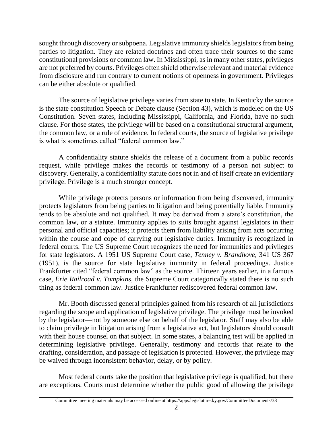sought through discovery or subpoena. Legislative immunity shields legislators from being parties to litigation. They are related doctrines and often trace their sources to the same constitutional provisions or common law. In Mississippi, as in many other states, privileges are not preferred by courts. Privileges often shield otherwise relevant and material evidence from disclosure and run contrary to current notions of openness in government. Privileges can be either absolute or qualified.

The source of legislative privilege varies from state to state. In Kentucky the source is the state constitution Speech or Debate clause (Section 43), which is modeled on the US Constitution. Seven states, including Mississippi, California, and Florida, have no such clause. For those states, the privilege will be based on a constitutional structural argument, the common law, or a rule of evidence. In federal courts, the source of legislative privilege is what is sometimes called "federal common law."

A confidentiality statute shields the release of a document from a public records request, while privilege makes the records or testimony of a person not subject to discovery. Generally, a confidentiality statute does not in and of itself create an evidentiary privilege. Privilege is a much stronger concept.

While privilege protects persons or information from being discovered, immunity protects legislators from being parties to litigation and being potentially liable. Immunity tends to be absolute and not qualified. It may be derived from a state's constitution, the common law, or a statute. Immunity applies to suits brought against legislators in their personal and official capacities; it protects them from liability arising from acts occurring within the course and cope of carrying out legislative duties. Immunity is recognized in federal courts. The US Supreme Court recognizes the need for immunities and privileges for state legislators. A 1951 US Supreme Court case, *Tenney v. Brandhove,* 341 US 367 (1951), is the source for state legislative immunity in federal proceedings. Justice Frankfurter cited "federal common law" as the source. Thirteen years earlier, in a famous case, *Erie Railroad v. Tompkins,* the Supreme Court categorically stated there is no such thing as federal common law. Justice Frankfurter rediscovered federal common law.

Mr. Booth discussed general principles gained from his research of all jurisdictions regarding the scope and application of legislative privilege. The privilege must be invoked by the legislator—not by someone else on behalf of the legislator. Staff may also be able to claim privilege in litigation arising from a legislative act, but legislators should consult with their house counsel on that subject. In some states, a balancing test will be applied in determining legislative privilege. Generally, testimony and records that relate to the drafting, consideration, and passage of legislation is protected. However, the privilege may be waived through inconsistent behavior, delay, or by policy.

Most federal courts take the position that legislative privilege is qualified, but there are exceptions. Courts must determine whether the public good of allowing the privilege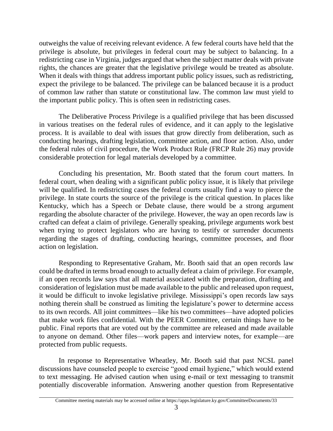outweighs the value of receiving relevant evidence. A few federal courts have held that the privilege is absolute, but privileges in federal court may be subject to balancing. In a redistricting case in Virginia, judges argued that when the subject matter deals with private rights, the chances are greater that the legislative privilege would be treated as absolute. When it deals with things that address important public policy issues, such as redistricting, expect the privilege to be balanced. The privilege can be balanced because it is a product of common law rather than statute or constitutional law. The common law must yield to the important public policy. This is often seen in redistricting cases.

The Deliberative Process Privilege is a qualified privilege that has been discussed in various treatises on the federal rules of evidence, and it can apply to the legislative process. It is available to deal with issues that grow directly from deliberation, such as conducting hearings, drafting legislation, committee action, and floor action. Also, under the federal rules of civil procedure, the Work Product Rule (FRCP Rule 26) may provide considerable protection for legal materials developed by a committee.

Concluding his presentation, Mr. Booth stated that the forum court matters. In federal court, when dealing with a significant public policy issue, it is likely that privilege will be qualified. In redistricting cases the federal courts usually find a way to pierce the privilege. In state courts the source of the privilege is the critical question. In places like Kentucky, which has a Speech or Debate clause, there would be a strong argument regarding the absolute character of the privilege. However, the way an open records law is crafted can defeat a claim of privilege. Generally speaking, privilege arguments work best when trying to protect legislators who are having to testify or surrender documents regarding the stages of drafting, conducting hearings, committee processes, and floor action on legislation.

Responding to Representative Graham, Mr. Booth said that an open records law could be drafted in terms broad enough to actually defeat a claim of privilege. For example, if an open records law says that all material associated with the preparation, drafting and consideration of legislation must be made available to the public and released upon request, it would be difficult to invoke legislative privilege. Mississippi's open records law says nothing therein shall be construed as limiting the legislature's power to determine access to its own records. All joint committees—like his two committees—have adopted policies that make work files confidential. With the PEER Committee, certain things have to be public. Final reports that are voted out by the committee are released and made available to anyone on demand. Other files—work papers and interview notes, for example—are protected from public requests.

In response to Representative Wheatley, Mr. Booth said that past NCSL panel discussions have counseled people to exercise "good email hygiene," which would extend to text messaging. He advised caution when using e-mail or text messaging to transmit potentially discoverable information. Answering another question from Representative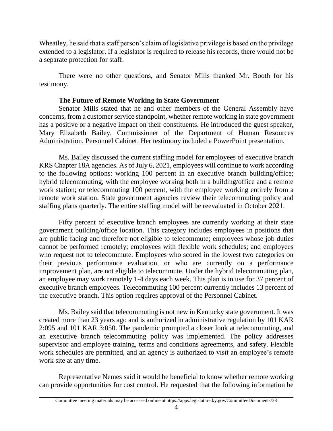Wheatley, he said that a staff person's claim of legislative privilege is based on the privilege extended to a legislator. If a legislator is required to release his records, there would not be a separate protection for staff.

There were no other questions, and Senator Mills thanked Mr. Booth for his testimony.

# **The Future of Remote Working in State Government**

Senator Mills stated that he and other members of the General Assembly have concerns, from a customer service standpoint, whether remote working in state government has a positive or a negative impact on their constituents. He introduced the guest speaker, Mary Elizabeth Bailey, Commissioner of the Department of Human Resources Administration, Personnel Cabinet. Her testimony included a PowerPoint presentation.

Ms. Bailey discussed the current staffing model for employees of executive branch KRS Chapter 18A agencies. As of July 6, 2021, employees will continue to work according to the following options: working 100 percent in an executive branch building/office; hybrid telecommuting, with the employee working both in a building/office and a remote work station; or telecommuting 100 percent, with the employee working entirely from a remote work station. State government agencies review their telecommuting policy and staffing plans quarterly. The entire staffing model will be reevaluated in October 2021.

Fifty percent of executive branch employees are currently working at their state government building/office location. This category includes employees in positions that are public facing and therefore not eligible to telecommute; employees whose job duties cannot be performed remotely; employees with flexible work schedules; and employees who request not to telecommute. Employees who scored in the lowest two categories on their previous performance evaluation, or who are currently on a performance improvement plan, are not eligible to telecommute. Under the hybrid telecommuting plan, an employee may work remotely 1-4 days each week. This plan is in use for 37 percent of executive branch employees. Telecommuting 100 percent currently includes 13 percent of the executive branch. This option requires approval of the Personnel Cabinet.

Ms. Bailey said that telecommuting is not new in Kentucky state government. It was created more than 23 years ago and is authorized in administrative regulation by 101 KAR 2:095 and 101 KAR 3:050. The pandemic prompted a closer look at telecommuting, and an executive branch telecommuting policy was implemented. The policy addresses supervisor and employee training, terms and conditions agreements, and safety. Flexible work schedules are permitted, and an agency is authorized to visit an employee's remote work site at any time.

Representative Nemes said it would be beneficial to know whether remote working can provide opportunities for cost control. He requested that the following information be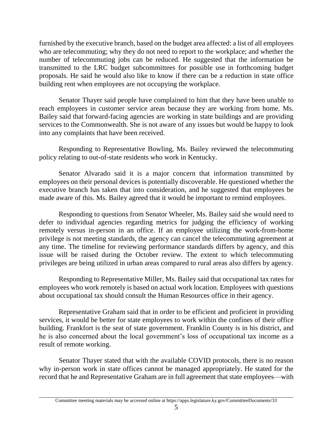furnished by the executive branch, based on the budget area affected: a list of all employees who are telecommuting; why they do not need to report to the workplace; and whether the number of telecommuting jobs can be reduced. He suggested that the information be transmitted to the LRC budget subcommittees for possible use in forthcoming budget proposals. He said he would also like to know if there can be a reduction in state office building rent when employees are not occupying the workplace.

Senator Thayer said people have complained to him that they have been unable to reach employees in customer service areas because they are working from home. Ms. Bailey said that forward-facing agencies are working in state buildings and are providing services to the Commonwealth. She is not aware of any issues but would be happy to look into any complaints that have been received.

Responding to Representative Bowling, Ms. Bailey reviewed the telecommuting policy relating to out-of-state residents who work in Kentucky.

Senator Alvarado said it is a major concern that information transmitted by employees on their personal devices is potentially discoverable. He questioned whether the executive branch has taken that into consideration, and he suggested that employees be made aware of this. Ms. Bailey agreed that it would be important to remind employees.

Responding to questions from Senator Wheeler, Ms. Bailey said she would need to defer to individual agencies regarding metrics for judging the efficiency of working remotely versus in-person in an office. If an employee utilizing the work-from-home privilege is not meeting standards, the agency can cancel the telecommuting agreement at any time. The timeline for reviewing performance standards differs by agency, and this issue will be raised during the October review. The extent to which telecommuting privileges are being utilized in urban areas compared to rural areas also differs by agency.

Responding to Representative Miller, Ms. Bailey said that occupational tax rates for employees who work remotely is based on actual work location. Employees with questions about occupational tax should consult the Human Resources office in their agency.

Representative Graham said that in order to be efficient and proficient in providing services, it would be better for state employees to work within the confines of their office building. Frankfort is the seat of state government. Franklin County is in his district, and he is also concerned about the local government's loss of occupational tax income as a result of remote working.

Senator Thayer stated that with the available COVID protocols, there is no reason why in-person work in state offices cannot be managed appropriately. He stated for the record that he and Representative Graham are in full agreement that state employees—with